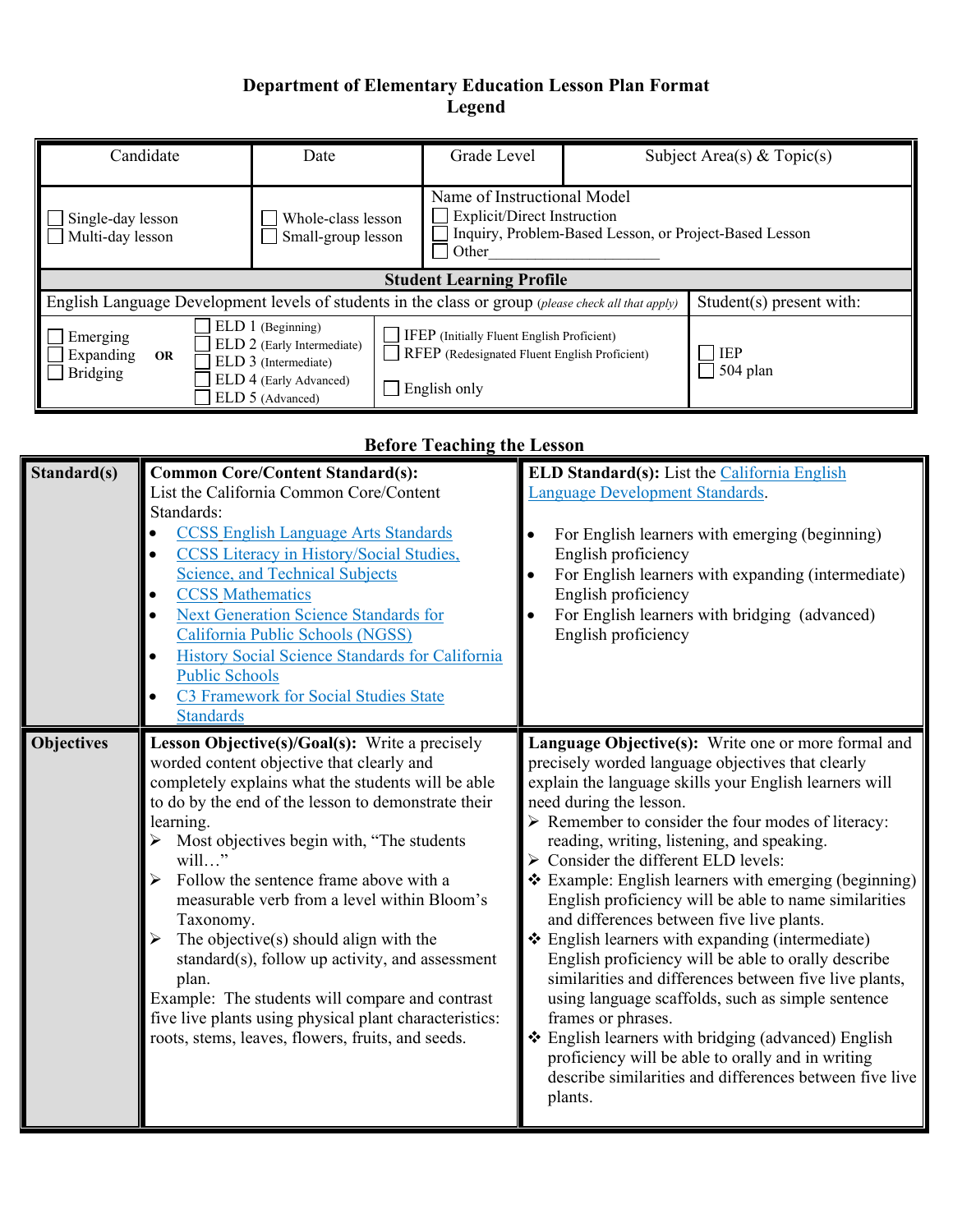## **Department of Elementary Education Lesson Plan Format Legend**

| Candidate                                                                                                                         | Date                                                                                                                  | Grade Level                                                                                                 |                                                        | Subject Area(s) & Topic(s) |  |
|-----------------------------------------------------------------------------------------------------------------------------------|-----------------------------------------------------------------------------------------------------------------------|-------------------------------------------------------------------------------------------------------------|--------------------------------------------------------|----------------------------|--|
| Single-day lesson<br>Multi-day lesson                                                                                             | Whole-class lesson<br>Small-group lesson                                                                              | Name of Instructional Model<br><b>Explicit/Direct Instruction</b><br>$\mathcal{L}_{\mathcal{A}}$<br>Other   | Inquiry, Problem-Based Lesson, or Project-Based Lesson |                            |  |
|                                                                                                                                   | <b>Student Learning Profile</b>                                                                                       |                                                                                                             |                                                        |                            |  |
| English Language Development levels of students in the class or group (please check all that apply)<br>$Student(s)$ present with: |                                                                                                                       |                                                                                                             |                                                        |                            |  |
| Emerging<br>Expanding<br><b>OR</b><br><b>Bridging</b>                                                                             | ELD 1 (Beginning)<br>ELD 2 (Early Intermediate)<br>ELD 3 (Intermediate)<br>ELD 4 (Early Advanced)<br>ELD 5 (Advanced) | IFEP (Initially Fluent English Proficient)<br>RFEP (Redesignated Fluent English Proficient)<br>English only |                                                        | <b>IEP</b><br>504 plan     |  |

## **Before Teaching the Lesson**

| Standard(s)       | <b>Common Core/Content Standard(s):</b><br>List the California Common Core/Content<br>Standards:<br><b>CCSS English Language Arts Standards</b><br><b>CCSS Literacy in History/Social Studies,</b><br><b>Science, and Technical Subjects</b><br><b>CCSS Mathematics</b><br><b>Next Generation Science Standards for</b><br>California Public Schools (NGSS)<br>History Social Science Standards for California<br><b>Public Schools</b><br>C3 Framework for Social Studies State<br><b>Standards</b>                                                                                                                                                         | <b>ELD Standard(s):</b> List the California English<br>Language Development Standards.<br>For English learners with emerging (beginning)<br>$\bullet$<br>English proficiency<br>For English learners with expanding (intermediate)<br>English proficiency<br>For English learners with bridging (advanced)<br>English proficiency                                                                                                                                                                                                                                                                                                                                                                                                                                                                                                                                                                                                                                        |
|-------------------|--------------------------------------------------------------------------------------------------------------------------------------------------------------------------------------------------------------------------------------------------------------------------------------------------------------------------------------------------------------------------------------------------------------------------------------------------------------------------------------------------------------------------------------------------------------------------------------------------------------------------------------------------------------|--------------------------------------------------------------------------------------------------------------------------------------------------------------------------------------------------------------------------------------------------------------------------------------------------------------------------------------------------------------------------------------------------------------------------------------------------------------------------------------------------------------------------------------------------------------------------------------------------------------------------------------------------------------------------------------------------------------------------------------------------------------------------------------------------------------------------------------------------------------------------------------------------------------------------------------------------------------------------|
| <b>Objectives</b> | Lesson Objective(s)/Goal(s): Write a precisely<br>worded content objective that clearly and<br>completely explains what the students will be able<br>to do by the end of the lesson to demonstrate their<br>learning.<br>Most objectives begin with, "The students<br>will"<br>Follow the sentence frame above with a<br>measurable verb from a level within Bloom's<br>Taxonomy.<br>The objective $(s)$ should align with the<br>standard(s), follow up activity, and assessment<br>plan.<br>Example: The students will compare and contrast<br>five live plants using physical plant characteristics:<br>roots, stems, leaves, flowers, fruits, and seeds. | Language Objective(s): Write one or more formal and<br>precisely worded language objectives that clearly<br>explain the language skills your English learners will<br>need during the lesson.<br>$\triangleright$ Remember to consider the four modes of literacy:<br>reading, writing, listening, and speaking.<br>$\triangleright$ Consider the different ELD levels:<br>❖ Example: English learners with emerging (beginning)<br>English proficiency will be able to name similarities<br>and differences between five live plants.<br>❖ English learners with expanding (intermediate)<br>English proficiency will be able to orally describe<br>similarities and differences between five live plants,<br>using language scaffolds, such as simple sentence<br>frames or phrases.<br>❖ English learners with bridging (advanced) English<br>proficiency will be able to orally and in writing<br>describe similarities and differences between five live<br>plants. |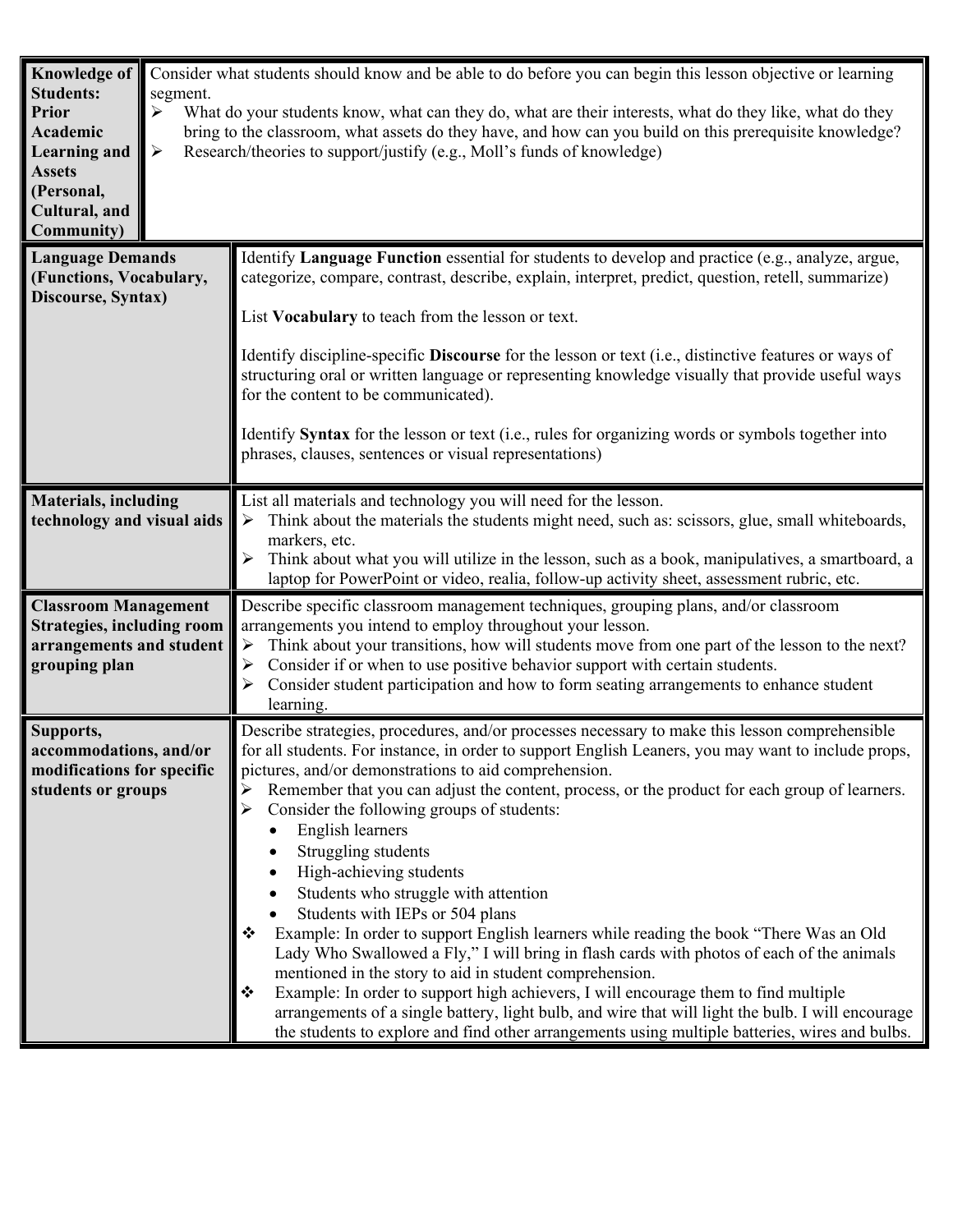| <b>Knowledge of</b><br><b>Students:</b><br>Prior<br><b>Academic</b><br><b>Learning and</b><br><b>Assets</b><br>(Personal,<br>Cultural, and<br><b>Community</b> ) | segment.<br>➤<br>$\blacktriangleright$ | Consider what students should know and be able to do before you can begin this lesson objective or learning<br>What do your students know, what can they do, what are their interests, what do they like, what do they<br>bring to the classroom, what assets do they have, and how can you build on this prerequisite knowledge?<br>Research/theories to support/justify (e.g., Moll's funds of knowledge)                                                                                                                                                                                                                                                                                                                                                                                                                                                                                                                                                                                                                                                                                                         |
|------------------------------------------------------------------------------------------------------------------------------------------------------------------|----------------------------------------|---------------------------------------------------------------------------------------------------------------------------------------------------------------------------------------------------------------------------------------------------------------------------------------------------------------------------------------------------------------------------------------------------------------------------------------------------------------------------------------------------------------------------------------------------------------------------------------------------------------------------------------------------------------------------------------------------------------------------------------------------------------------------------------------------------------------------------------------------------------------------------------------------------------------------------------------------------------------------------------------------------------------------------------------------------------------------------------------------------------------|
| <b>Language Demands</b><br>(Functions, Vocabulary,<br>Discourse, Syntax)                                                                                         |                                        | Identify Language Function essential for students to develop and practice (e.g., analyze, argue,<br>categorize, compare, contrast, describe, explain, interpret, predict, question, retell, summarize)<br>List Vocabulary to teach from the lesson or text.<br>Identify discipline-specific <b>Discourse</b> for the lesson or text (i.e., distinctive features or ways of<br>structuring oral or written language or representing knowledge visually that provide useful ways<br>for the content to be communicated).<br>Identify Syntax for the lesson or text (i.e., rules for organizing words or symbols together into<br>phrases, clauses, sentences or visual representations)                                                                                                                                                                                                                                                                                                                                                                                                                               |
| <b>Materials, including</b><br>technology and visual aids                                                                                                        |                                        | List all materials and technology you will need for the lesson.<br>Think about the materials the students might need, such as: scissors, glue, small whiteboards,<br>➤<br>markers, etc.<br>Think about what you will utilize in the lesson, such as a book, manipulatives, a smartboard, a<br>laptop for PowerPoint or video, realia, follow-up activity sheet, assessment rubric, etc.                                                                                                                                                                                                                                                                                                                                                                                                                                                                                                                                                                                                                                                                                                                             |
| <b>Classroom Management</b><br><b>Strategies, including room</b><br>arrangements and student<br>grouping plan                                                    |                                        | Describe specific classroom management techniques, grouping plans, and/or classroom<br>arrangements you intend to employ throughout your lesson.<br>Think about your transitions, how will students move from one part of the lesson to the next?<br>$\blacktriangleright$<br>Consider if or when to use positive behavior support with certain students.<br>Consider student participation and how to form seating arrangements to enhance student<br>learning.                                                                                                                                                                                                                                                                                                                                                                                                                                                                                                                                                                                                                                                    |
| Supports,<br>accommodations, and/or<br>modifications for specific<br>students or groups                                                                          |                                        | Describe strategies, procedures, and/or processes necessary to make this lesson comprehensible<br>for all students. For instance, in order to support English Leaners, you may want to include props,<br>pictures, and/or demonstrations to aid comprehension.<br>Remember that you can adjust the content, process, or the product for each group of learners.<br>Consider the following groups of students:<br>English learners<br>Struggling students<br>High-achieving students<br>Students who struggle with attention<br>Students with IEPs or 504 plans<br>Example: In order to support English learners while reading the book "There Was an Old<br>Lady Who Swallowed a Fly," I will bring in flash cards with photos of each of the animals<br>mentioned in the story to aid in student comprehension.<br>Example: In order to support high achievers, I will encourage them to find multiple<br>❖<br>arrangements of a single battery, light bulb, and wire that will light the bulb. I will encourage<br>the students to explore and find other arrangements using multiple batteries, wires and bulbs. |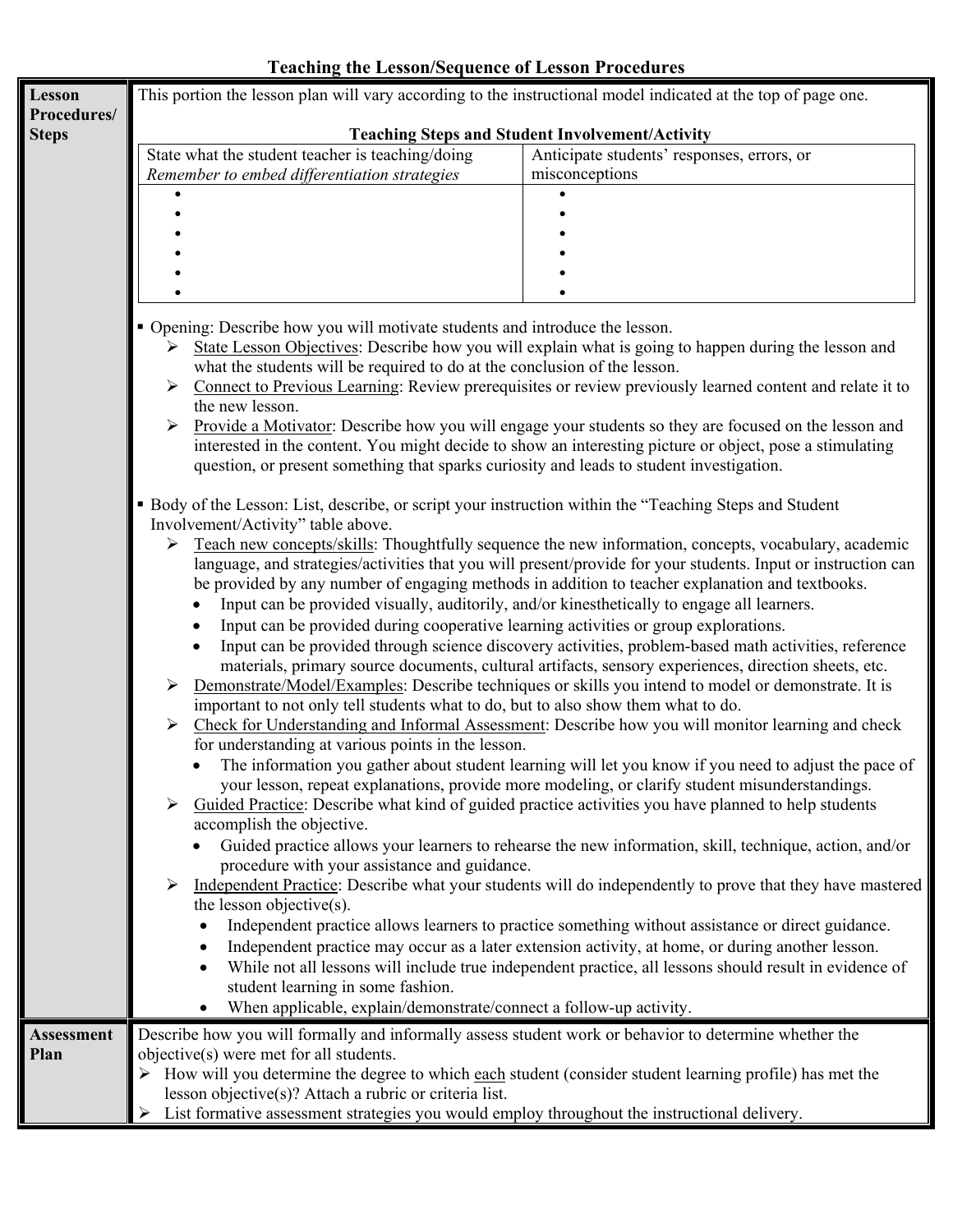## **Teaching the Lesson/Sequence of Lesson Procedures**

| <b>Lesson</b>     | This portion the lesson plan will vary according to the instructional model indicated at the top of page one.                                                                          |                                                                                                                                                                                                                  |  |  |  |  |
|-------------------|----------------------------------------------------------------------------------------------------------------------------------------------------------------------------------------|------------------------------------------------------------------------------------------------------------------------------------------------------------------------------------------------------------------|--|--|--|--|
| Procedures/       | <b>Teaching Steps and Student Involvement/Activity</b>                                                                                                                                 |                                                                                                                                                                                                                  |  |  |  |  |
| <b>Steps</b>      | State what the student teacher is teaching/doing                                                                                                                                       | Anticipate students' responses, errors, or                                                                                                                                                                       |  |  |  |  |
|                   | Remember to embed differentiation strategies                                                                                                                                           | misconceptions                                                                                                                                                                                                   |  |  |  |  |
|                   |                                                                                                                                                                                        |                                                                                                                                                                                                                  |  |  |  |  |
|                   |                                                                                                                                                                                        |                                                                                                                                                                                                                  |  |  |  |  |
|                   |                                                                                                                                                                                        |                                                                                                                                                                                                                  |  |  |  |  |
|                   |                                                                                                                                                                                        |                                                                                                                                                                                                                  |  |  |  |  |
|                   |                                                                                                                                                                                        |                                                                                                                                                                                                                  |  |  |  |  |
|                   |                                                                                                                                                                                        |                                                                                                                                                                                                                  |  |  |  |  |
|                   | • Opening: Describe how you will motivate students and introduce the lesson.                                                                                                           |                                                                                                                                                                                                                  |  |  |  |  |
|                   | State Lesson Objectives: Describe how you will explain what is going to happen during the lesson and<br>➤<br>what the students will be required to do at the conclusion of the lesson. |                                                                                                                                                                                                                  |  |  |  |  |
|                   | ➤                                                                                                                                                                                      | Connect to Previous Learning: Review prerequisites or review previously learned content and relate it to                                                                                                         |  |  |  |  |
|                   | the new lesson.                                                                                                                                                                        |                                                                                                                                                                                                                  |  |  |  |  |
|                   | ➤                                                                                                                                                                                      | Provide a Motivator: Describe how you will engage your students so they are focused on the lesson and                                                                                                            |  |  |  |  |
|                   |                                                                                                                                                                                        | interested in the content. You might decide to show an interesting picture or object, pose a stimulating                                                                                                         |  |  |  |  |
|                   | question, or present something that sparks curiosity and leads to student investigation.                                                                                               |                                                                                                                                                                                                                  |  |  |  |  |
|                   |                                                                                                                                                                                        |                                                                                                                                                                                                                  |  |  |  |  |
|                   | • Body of the Lesson: List, describe, or script your instruction within the "Teaching Steps and Student                                                                                |                                                                                                                                                                                                                  |  |  |  |  |
|                   | Involvement/Activity" table above.<br>➤                                                                                                                                                | Teach new concepts/skills: Thoughtfully sequence the new information, concepts, vocabulary, academic                                                                                                             |  |  |  |  |
|                   |                                                                                                                                                                                        | language, and strategies/activities that you will present/provide for your students. Input or instruction can<br>be provided by any number of engaging methods in addition to teacher explanation and textbooks. |  |  |  |  |
|                   | Input can be provided visually, auditorily, and/or kinesthetically to engage all learners.                                                                                             |                                                                                                                                                                                                                  |  |  |  |  |
|                   | Input can be provided during cooperative learning activities or group explorations.<br>٠                                                                                               |                                                                                                                                                                                                                  |  |  |  |  |
|                   | $\bullet$                                                                                                                                                                              | Input can be provided through science discovery activities, problem-based math activities, reference                                                                                                             |  |  |  |  |
|                   |                                                                                                                                                                                        | materials, primary source documents, cultural artifacts, sensory experiences, direction sheets, etc.                                                                                                             |  |  |  |  |
|                   | ➤                                                                                                                                                                                      | Demonstrate/Model/Examples: Describe techniques or skills you intend to model or demonstrate. It is                                                                                                              |  |  |  |  |
|                   | important to not only tell students what to do, but to also show them what to do.                                                                                                      |                                                                                                                                                                                                                  |  |  |  |  |
|                   | ➤                                                                                                                                                                                      | Check for Understanding and Informal Assessment: Describe how you will monitor learning and check                                                                                                                |  |  |  |  |
|                   | for understanding at various points in the lesson.                                                                                                                                     |                                                                                                                                                                                                                  |  |  |  |  |
|                   |                                                                                                                                                                                        | The information you gather about student learning will let you know if you need to adjust the pace of                                                                                                            |  |  |  |  |
|                   | your lesson, repeat explanations, provide more modeling, or clarify student misunderstandings.                                                                                         |                                                                                                                                                                                                                  |  |  |  |  |
|                   | Guided Practice: Describe what kind of guided practice activities you have planned to help students<br>➤<br>accomplish the objective.                                                  |                                                                                                                                                                                                                  |  |  |  |  |
|                   | Guided practice allows your learners to rehearse the new information, skill, technique, action, and/or                                                                                 |                                                                                                                                                                                                                  |  |  |  |  |
|                   | procedure with your assistance and guidance.                                                                                                                                           |                                                                                                                                                                                                                  |  |  |  |  |
|                   | ➤                                                                                                                                                                                      | Independent Practice: Describe what your students will do independently to prove that they have mastered                                                                                                         |  |  |  |  |
|                   | the lesson objective(s).                                                                                                                                                               |                                                                                                                                                                                                                  |  |  |  |  |
|                   |                                                                                                                                                                                        | Independent practice allows learners to practice something without assistance or direct guidance.                                                                                                                |  |  |  |  |
|                   |                                                                                                                                                                                        | Independent practice may occur as a later extension activity, at home, or during another lesson.                                                                                                                 |  |  |  |  |
|                   |                                                                                                                                                                                        | While not all lessons will include true independent practice, all lessons should result in evidence of                                                                                                           |  |  |  |  |
|                   | student learning in some fashion.                                                                                                                                                      |                                                                                                                                                                                                                  |  |  |  |  |
|                   | When applicable, explain/demonstrate/connect a follow-up activity.                                                                                                                     |                                                                                                                                                                                                                  |  |  |  |  |
| <b>Assessment</b> | Describe how you will formally and informally assess student work or behavior to determine whether the                                                                                 |                                                                                                                                                                                                                  |  |  |  |  |
| Plan              | objective(s) were met for all students.                                                                                                                                                |                                                                                                                                                                                                                  |  |  |  |  |
|                   | How will you determine the degree to which each student (consider student learning profile) has met the                                                                                |                                                                                                                                                                                                                  |  |  |  |  |
|                   | lesson objective(s)? Attach a rubric or criteria list.                                                                                                                                 |                                                                                                                                                                                                                  |  |  |  |  |
|                   | List formative assessment strategies you would employ throughout the instructional delivery.                                                                                           |                                                                                                                                                                                                                  |  |  |  |  |